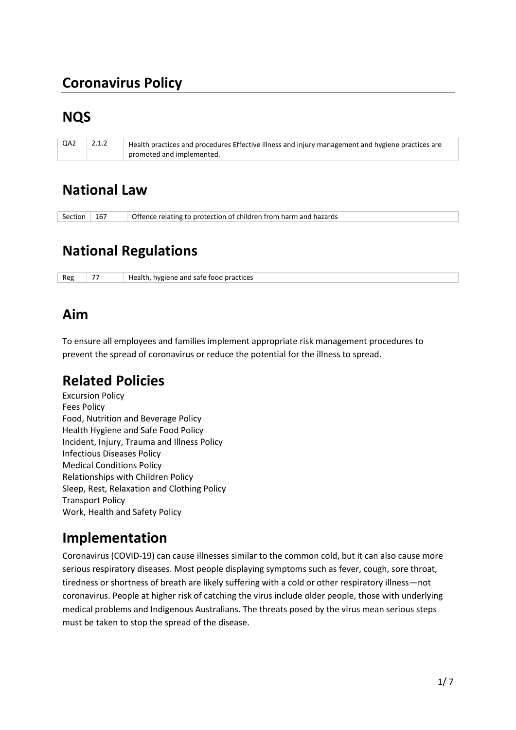# **Coronavirus Policy**

# **NQS**

| QA2 | 2.1.2 | Health practices and procedures Effective illness and injury management and hygiene practices are |
|-----|-------|---------------------------------------------------------------------------------------------------|
|     |       | promoted and implemented.                                                                         |

## **National Law**

| Section $\vert$ 167 |  | Offence relating to protection of children from harm and hazards |
|---------------------|--|------------------------------------------------------------------|
|---------------------|--|------------------------------------------------------------------|

# **National Regulations**

| Reg | $- -$ | Health, hygiene and safe food practices |
|-----|-------|-----------------------------------------|
|-----|-------|-----------------------------------------|

## **Aim**

To ensure all employees and families implement appropriate risk management procedures to prevent the spread of coronavirus or reduce the potential for the illness to spread.

# **Related Policies**

Excursion Policy Fees Policy Food, Nutrition and Beverage Policy Health Hygiene and Safe Food Policy Incident, Injury, Trauma and Illness Policy Infectious Diseases Policy Medical Conditions Policy Relationships with Children Policy Sleep, Rest, Relaxation and Clothing Policy Transport Policy Work, Health and Safety Policy

# **Implementation**

Coronavirus (COVID-19) can cause illnesses similar to the common cold, but it can also cause more serious respiratory diseases. Most people displaying symptoms such as fever, cough, sore throat, tiredness or shortness of breath are likely suffering with a cold or other respiratory illness—not coronavirus. People at higher risk of catching the virus include older people, those with underlying medical problems and Indigenous Australians. The threats posed by the virus mean serious steps must be taken to stop the spread of the disease.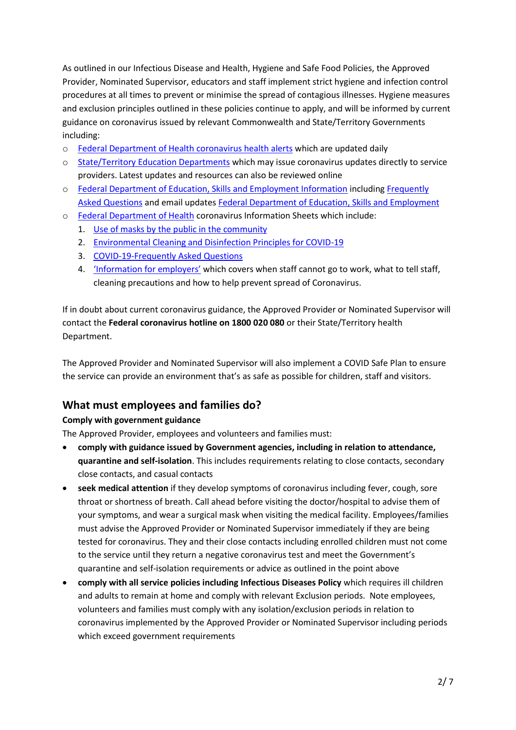As outlined in our Infectious Disease and Health, Hygiene and Safe Food Policies, the Approved Provider, Nominated Supervisor, educators and staff implement strict hygiene and infection control procedures at all times to prevent or minimise the spread of contagious illnesses. Hygiene measures and exclusion principles outlined in these policies continue to apply, and will be informed by current guidance on coronavirus issued by relevant Commonwealth and State/Territory Governments including:

- o [Federal Department of Health coronavirus health alerts](https://www.health.gov.au/news/health-alerts/novel-coronavirus-2019-ncov-health-alert) which are updated daily
- o [State/Territory Education Departments](https://www.health.gov.au/about-us/contact-us/local-state-and-territory-health-departments) which may issue coronavirus updates directly to service providers. Latest updates and resources can also be reviewed online
- o [Federal Department of Education, Skills and Employment Information](https://www.dese.gov.au/news/coronavirus-covid-19) includin[g Frequently](https://www.education.gov.au/childcare-FAQ)  [Asked Questions](https://www.education.gov.au/childcare-FAQ) and email updates [Federal Department of Education, Skills and Employment](https://education.us17.list-manage.com/subscribe?u=e11e7c8d748ec85b8de00986c&id=e6668f2d2e)
- o [Federal Department of Health](https://www.health.gov.au/) coronavirus Information Sheets which include:
	- 1. Use of masks by [the public in the community](https://www.health.gov.au/sites/default/files/documents/2020/06/coronavirus-covid-19-use-of-masks-by-the-public-in-the-community-use-of-masks-by-the-public-in-the-community_0.pdf)
	- 2. [Environmental Cleaning and Disinfection Principles for COVID-19](https://www.health.gov.au/sites/default/files/documents/2020/03/environmental-cleaning-and-disinfection-principles-for-covid-19.pdf)
	- 3. [COVID-19-Frequently Asked Questions](https://www.health.gov.au/sites/default/files/documents/2020/03/coronavirus-covid-19-frequently-asked-questions_1.pdf)
	- 4. ['Information for employers'](https://www.health.gov.au/resources/publications/coronavirus-covid-19-information-for-employers) which covers when staff cannot go to work, what to tell staff, cleaning precautions and how to help prevent spread of Coronavirus.

If in doubt about current coronavirus guidance, the Approved Provider or Nominated Supervisor will contact the **Federal coronavirus hotline on 1800 020 080** or their State/Territory health Department.

The Approved Provider and Nominated Supervisor will also implement a COVID Safe Plan to ensure the service can provide an environment that's as safe as possible for children, staff and visitors.

### **What must employees and families do?**

#### **Comply with government guidance**

The Approved Provider, employees and volunteers and families must:

- **comply with guidance issued by Government agencies, including in relation to attendance, quarantine and self-isolation**. This includes requirements relating to close contacts, secondary close contacts, and casual contacts
- **seek medical attention** if they develop symptoms of coronavirus including fever, cough, sore throat or shortness of breath. Call ahead before visiting the doctor/hospital to advise them of your symptoms, and wear a surgical mask when visiting the medical facility. Employees/families must advise the Approved Provider or Nominated Supervisor immediately if they are being tested for coronavirus. They and their close contacts including enrolled children must not come to the service until they return a negative coronavirus test and meet the Government's quarantine and self-isolation requirements or advice as outlined in the point above
- **comply with all service policies including Infectious Diseases Policy** which requires ill children and adults to remain at home and comply with relevant Exclusion periods. Note employees, volunteers and families must comply with any isolation/exclusion periods in relation to coronavirus implemented by the Approved Provider or Nominated Supervisor including periods which exceed government requirements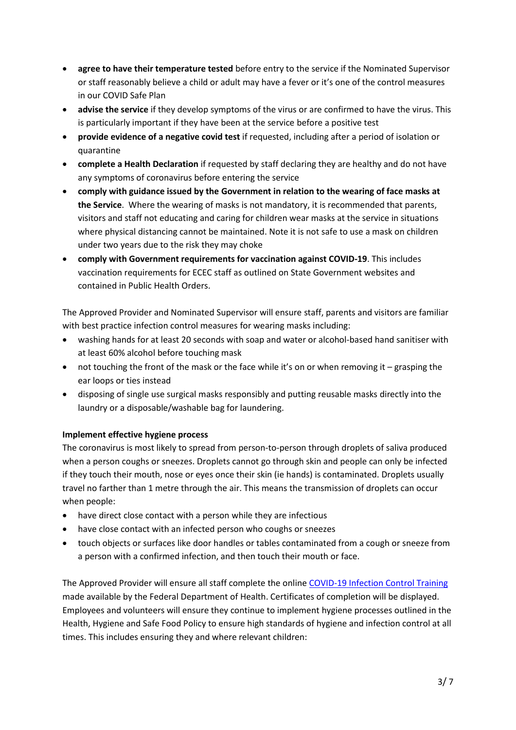- **agree to have their temperature tested** before entry to the service if the Nominated Supervisor or staff reasonably believe a child or adult may have a fever or it's one of the control measures in our COVID Safe Plan
- **advise the service** if they develop symptoms of the virus or are confirmed to have the virus. This is particularly important if they have been at the service before a positive test
- **provide evidence of a negative covid test** if requested, including after a period of isolation or quarantine
- **complete a Health Declaration** if requested by staff declaring they are healthy and do not have any symptoms of coronavirus before entering the service
- **comply with guidance issued by the Government in relation to the wearing of face masks at the Service**. Where the wearing of masks is not mandatory, it is recommended that parents, visitors and staff not educating and caring for children wear masks at the service in situations where physical distancing cannot be maintained. Note it is not safe to use a mask on children under two years due to the risk they may choke
- **comply with Government requirements for vaccination against COVID-19**. This includes vaccination requirements for ECEC staff as outlined on State Government websites and contained in Public Health Orders.

The Approved Provider and Nominated Supervisor will ensure staff, parents and visitors are familiar with best practice infection control measures for wearing masks including:

- washing hands for at least 20 seconds with soap and water or alcohol-based hand sanitiser with at least 60% alcohol before touching mask
- not touching the front of the mask or the face while it's on or when removing it grasping the ear loops or ties instead
- disposing of single use surgical masks responsibly and putting reusable masks directly into the laundry or a disposable/washable bag for laundering.

### **Implement effective hygiene process**

The coronavirus is most likely to spread from person-to-person through droplets of saliva produced when a person coughs or sneezes. Droplets cannot go through skin and people can only be infected if they touch their mouth, nose or eyes once their skin (ie hands) is contaminated. Droplets usually travel no farther than 1 metre through the air. This means the transmission of droplets can occur when people:

- have direct close contact with a person while they are infectious
- have close contact with an infected person who coughs or sneezes
- touch objects or surfaces like door handles or tables contaminated from a cough or sneeze from a person with a confirmed infection, and then touch their mouth or face.

The Approved Provider will ensure all staff complete the onlin[e COVID-19 Infection Control Training](https://www.health.gov.au/resources/apps-and-tools/covid-19-infection-control-training) made available by the Federal Department of Health. Certificates of completion will be displayed. Employees and volunteers will ensure they continue to implement hygiene processes outlined in the Health, Hygiene and Safe Food Policy to ensure high standards of hygiene and infection control at all times. This includes ensuring they and where relevant children: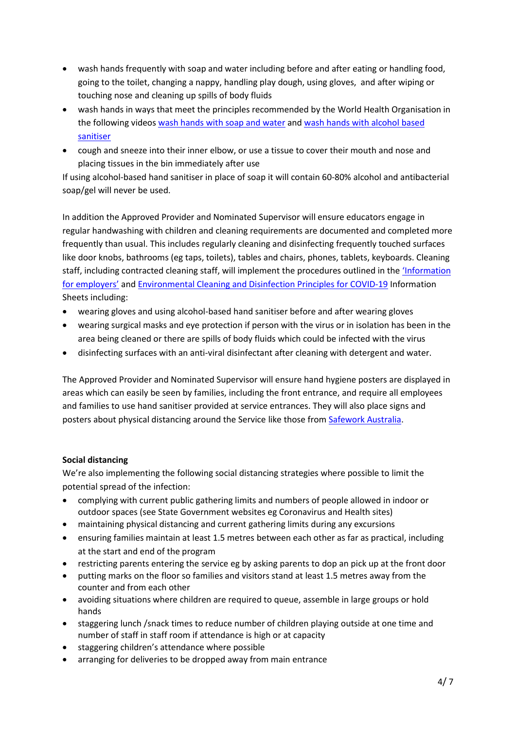- wash hands frequently with soap and water including before and after eating or handling food, going to the toilet, changing a nappy, handling play dough, using gloves, and after wiping or touching nose and cleaning up spills of body fluids
- wash hands in ways that meet the principles recommended by the World Health Organisation in the following video[s wash hands with soap and water](https://www.youtube.com/watch?v=3PmVJQUCm4E) and [wash hands with alcohol based](https://www.youtube.com/watch?v=ZnSjFr6J9HI)  [sanitiser](https://www.youtube.com/watch?v=ZnSjFr6J9HI)
- cough and sneeze into their inner elbow, or use a tissue to cover their mouth and nose and placing tissues in the bin immediately after use

If using alcohol-based hand sanitiser in place of soap it will contain 60-80% alcohol and antibacterial soap/gel will never be used.

In addition the Approved Provider and Nominated Supervisor will ensure educators engage in regular handwashing with children and cleaning requirements are documented and completed more frequently than usual. This includes regularly cleaning and disinfecting frequently touched surfaces like door knobs, bathrooms (eg taps, toilets), tables and chairs, phones, tablets, keyboards. Cleaning staff, including contracted cleaning staff, will implement the procedures outlined in the 'Information for [employers'](https://www.health.gov.au/resources/publications/coronavirus-covid-19-information-for-employers) and [Environmental Cleaning and Disinfection Principles for COVID-19](https://www.health.gov.au/sites/default/files/documents/2020/03/environmental-cleaning-and-disinfection-principles-for-covid-19.pdf) Information Sheets including:

- wearing gloves and using alcohol-based hand sanitiser before and after wearing gloves
- wearing surgical masks and eye protection if person with the virus or in isolation has been in the area being cleaned or there are spills of body fluids which could be infected with the virus
- disinfecting surfaces with an anti-viral disinfectant after cleaning with detergent and water.

The Approved Provider and Nominated Supervisor will ensure hand hygiene posters are displayed in areas which can easily be seen by families, including the front entrance, and require all employees and families to use hand sanitiser provided at service entrances. They will also place signs and posters about physical distancing around the Service like those from [Safework Australia.](https://www.safeworkaustralia.gov.au/doc/signage-and-posters-covid-19)

#### **Social distancing**

We're also implementing the following social distancing strategies where possible to limit the potential spread of the infection:

- complying with current public gathering limits and numbers of people allowed in indoor or outdoor spaces (see State Government websites eg Coronavirus and Health sites)
- maintaining physical distancing and current gathering limits during any excursions
- ensuring families maintain at least 1.5 metres between each other as far as practical, including at the start and end of the program
- restricting parents entering the service eg by asking parents to dop an pick up at the front door
- putting marks on the floor so families and visitors stand at least 1.5 metres away from the counter and from each other
- avoiding situations where children are required to queue, assemble in large groups or hold hands
- staggering lunch /snack times to reduce number of children playing outside at one time and number of staff in staff room if attendance is high or at capacity
- staggering children's attendance where possible
- arranging for deliveries to be dropped away from main entrance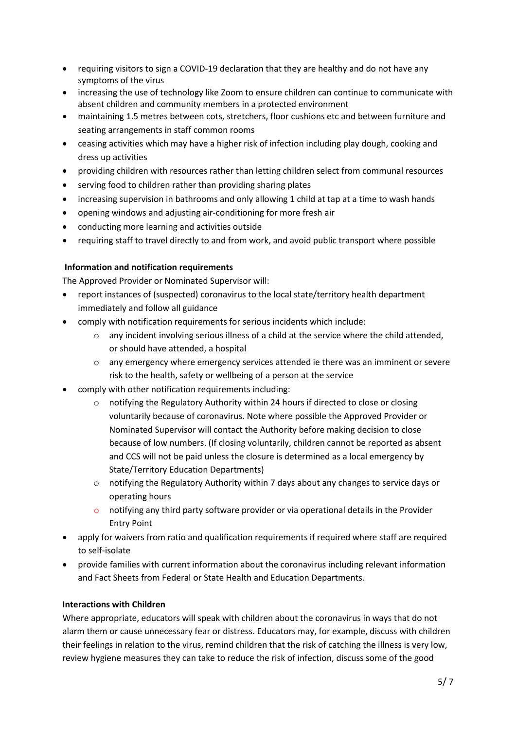- requiring visitors to sign a COVID-19 declaration that they are healthy and do not have any symptoms of the virus
- increasing the use of technology like Zoom to ensure children can continue to communicate with absent children and community members in a protected environment
- maintaining 1.5 metres between cots, stretchers, floor cushions etc and between furniture and seating arrangements in staff common rooms
- ceasing activities which may have a higher risk of infection including play dough, cooking and dress up activities
- providing children with resources rather than letting children select from communal resources
- serving food to children rather than providing sharing plates
- increasing supervision in bathrooms and only allowing 1 child at tap at a time to wash hands
- opening windows and adjusting air-conditioning for more fresh air
- conducting more learning and activities outside
- requiring staff to travel directly to and from work, and avoid public transport where possible

#### **Information and notification requirements**

The Approved Provider or Nominated Supervisor will:

- report instances of (suspected) coronavirus to the local state/territory health department immediately and follow all guidance
- comply with notification requirements for serious incidents which include:
	- o any incident involving serious illness of a child at the service where the child attended, or should have attended, a hospital
	- o any emergency where emergency services attended ie there was an imminent or severe risk to the health, safety or wellbeing of a person at the service
- comply with other notification requirements including:
	- o notifying the Regulatory Authority within 24 hours if directed to close or closing voluntarily because of coronavirus. Note where possible the Approved Provider or Nominated Supervisor will contact the Authority before making decision to close because of low numbers. (If closing voluntarily, children cannot be reported as absent and CCS will not be paid unless the closure is determined as a local emergency by State/Territory Education Departments)
	- o notifying the Regulatory Authority within 7 days about any changes to service days or operating hours
	- $\circ$  notifying any third party software provider or via operational details in the Provider Entry Point
- apply for waivers from ratio and qualification requirements if required where staff are required to self-isolate
- provide families with current information about the coronavirus including relevant information and Fact Sheets from Federal or State Health and Education Departments.

#### **Interactions with Children**

Where appropriate, educators will speak with children about the coronavirus in ways that do not alarm them or cause unnecessary fear or distress. Educators may, for example, discuss with children their feelings in relation to the virus, remind children that the risk of catching the illness is very low, review hygiene measures they can take to reduce the risk of infection, discuss some of the good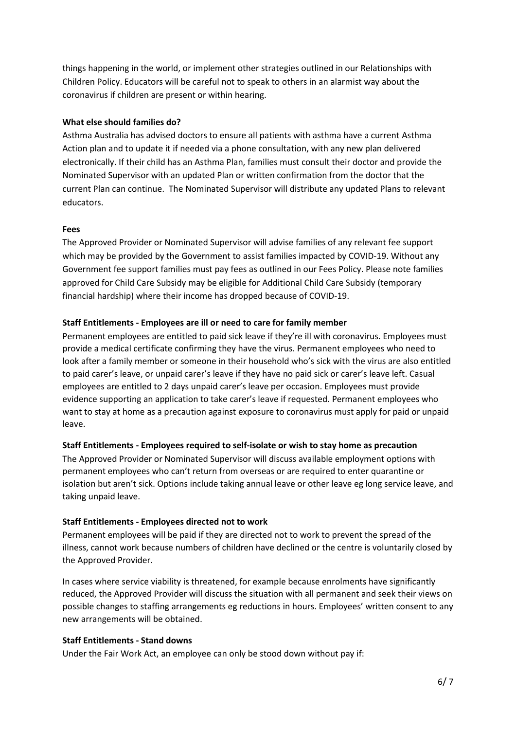things happening in the world, or implement other strategies outlined in our Relationships with Children Policy. Educators will be careful not to speak to others in an alarmist way about the coronavirus if children are present or within hearing.

#### **What else should families do?**

Asthma Australia has advised doctors to ensure all patients with asthma have a current Asthma Action plan and to update it if needed via a phone consultation, with any new plan delivered electronically. If their child has an Asthma Plan, families must consult their doctor and provide the Nominated Supervisor with an updated Plan or written confirmation from the doctor that the current Plan can continue. The Nominated Supervisor will distribute any updated Plans to relevant educators.

#### **Fees**

The Approved Provider or Nominated Supervisor will advise families of any relevant fee support which may be provided by the Government to assist families impacted by COVID-19. Without any Government fee support families must pay fees as outlined in our Fees Policy. Please note families approved for Child Care Subsidy may be eligible for Additional Child Care Subsidy (temporary financial hardship) where their income has dropped because of COVID-19.

#### **Staff Entitlements - Employees are ill or need to care for family member**

Permanent employees are entitled to paid sick leave if they're ill with coronavirus. Employees must provide a medical certificate confirming they have the virus. Permanent employees who need to look after a family member or someone in their household who's sick with the virus are also entitled to paid carer's leave, or unpaid carer's leave if they have no paid sick or carer's leave left. Casual employees are entitled to 2 days unpaid carer's leave per occasion. Employees must provide evidence supporting an application to take carer's leave if requested. Permanent employees who want to stay at home as a precaution against exposure to coronavirus must apply for paid or unpaid leave.

#### **Staff Entitlements - Employees required to self-isolate or wish to stay home as precaution**

The Approved Provider or Nominated Supervisor will discuss available employment options with permanent employees who can't return from overseas or are required to enter quarantine or isolation but aren't sick. Options include taking annual leave or other leave eg long service leave, and taking unpaid leave.

#### **Staff Entitlements - Employees directed not to work**

Permanent employees will be paid if they are directed not to work to prevent the spread of the illness, cannot work because numbers of children have declined or the centre is voluntarily closed by the Approved Provider.

In cases where service viability is threatened, for example because enrolments have significantly reduced, the Approved Provider will discuss the situation with all permanent and seek their views on possible changes to staffing arrangements eg reductions in hours. Employees' written consent to any new arrangements will be obtained.

#### **Staff Entitlements - Stand downs**

Under the Fair Work Act, an employee can only be stood down without pay if: